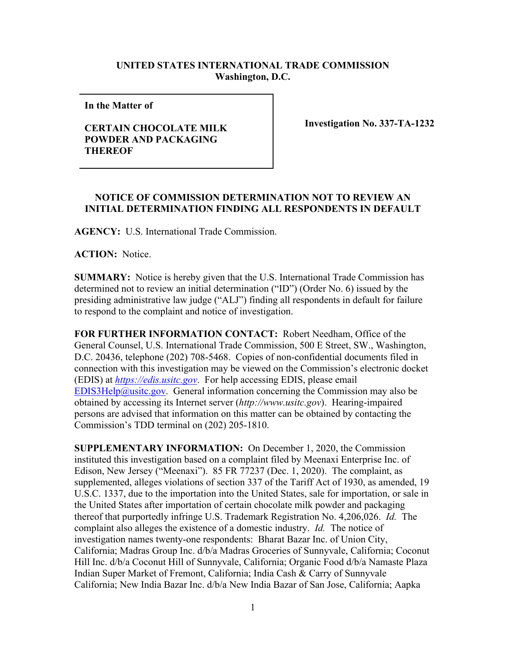## **UNITED STATES INTERNATIONAL TRADE COMMISSION Washington, D.C.**

**In the Matter of** 

## **CERTAIN CHOCOLATE MILK POWDER AND PACKAGING THEREOF**

**Investigation No. 337-TA-1232**

## **NOTICE OF COMMISSION DETERMINATION NOT TO REVIEW AN INITIAL DETERMINATION FINDING ALL RESPONDENTS IN DEFAULT**

**AGENCY:** U.S. International Trade Commission.

**ACTION:** Notice.

**SUMMARY:** Notice is hereby given that the U.S. International Trade Commission has determined not to review an initial determination ("ID") (Order No. 6) issued by the presiding administrative law judge ("ALJ") finding all respondents in default for failure to respond to the complaint and notice of investigation.

**FOR FURTHER INFORMATION CONTACT:** Robert Needham, Office of the General Counsel, U.S. International Trade Commission, 500 E Street, SW., Washington, D.C. 20436, telephone (202) 708-5468. Copies of non-confidential documents filed in connection with this investigation may be viewed on the Commission's electronic docket (EDIS) at *[https://edis.usitc.gov](https://edis.usitc.gov/)*. For help accessing EDIS, please email [EDIS3Help@usitc.gov.](mailto:EDIS3Help@usitc.gov) General information concerning the Commission may also be obtained by accessing its Internet server (*http://www.usitc.gov*). Hearing-impaired persons are advised that information on this matter can be obtained by contacting the Commission's TDD terminal on (202) 205-1810.

**SUPPLEMENTARY INFORMATION:** On December 1, 2020, the Commission instituted this investigation based on a complaint filed by Meenaxi Enterprise Inc. of Edison, New Jersey ("Meenaxi"). 85 FR 77237 (Dec. 1, 2020). The complaint, as supplemented, alleges violations of section 337 of the Tariff Act of 1930, as amended, 19 U.S.C. 1337, due to the importation into the United States, sale for importation, or sale in the United States after importation of certain chocolate milk powder and packaging thereof that purportedly infringe U.S. Trademark Registration No. 4,206,026. *Id.* The complaint also alleges the existence of a domestic industry. *Id.* The notice of investigation names twenty-one respondents: Bharat Bazar Inc. of Union City, California; Madras Group Inc. d/b/a Madras Groceries of Sunnyvale, California; Coconut Hill Inc. d/b/a Coconut Hill of Sunnyvale, California; Organic Food d/b/a Namaste Plaza Indian Super Market of Fremont, California; India Cash & Carry of Sunnyvale California; New India Bazar Inc. d/b/a New India Bazar of San Jose, California; Aapka